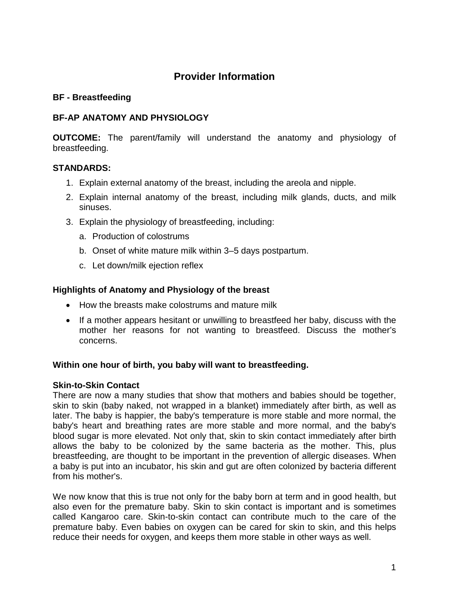# **Provider Information**

### **BF - Breastfeeding**

# **BF-AP ANATOMY AND PHYSIOLOGY**

**OUTCOME:** The parent/family will understand the anatomy and physiology of breastfeeding.

# **STANDARDS:**

- 1. Explain external anatomy of the breast, including the areola and nipple.
- 2. Explain internal anatomy of the breast, including milk glands, ducts, and milk sinuses.
- 3. Explain the physiology of breastfeeding, including:
	- a. Production of colostrums
	- b. Onset of white mature milk within 3–5 days postpartum.
	- c. Let down/milk ejection reflex

# **Highlights of Anatomy and Physiology of the breast**

- How the breasts make colostrums and mature milk
- If a mother appears hesitant or unwilling to breastfeed her baby, discuss with the mother her reasons for not wanting to breastfeed. Discuss the mother's concerns.

#### **Within one hour of birth, you baby will want to breastfeeding.**

#### **Skin-to-Skin Contact**

There are now a many studies that show that mothers and babies should be together, skin to skin (baby naked, not wrapped in a blanket) immediately after birth, as well as later. The baby is happier, the baby's temperature is more stable and more normal, the baby's heart and breathing rates are more stable and more normal, and the baby's blood sugar is more elevated. Not only that, skin to skin contact immediately after birth allows the baby to be colonized by the same bacteria as the mother. This, plus breastfeeding, are thought to be important in the prevention of allergic diseases. When a baby is put into an incubator, his skin and gut are often colonized by bacteria different from his mother's.

We now know that this is true not only for the baby born at term and in good health, but also even for the premature baby. Skin to skin contact is important and is sometimes called Kangaroo care. Skin-to-skin contact can contribute much to the care of the premature baby. Even babies on oxygen can be cared for skin to skin, and this helps reduce their needs for oxygen, and keeps them more stable in other ways as well.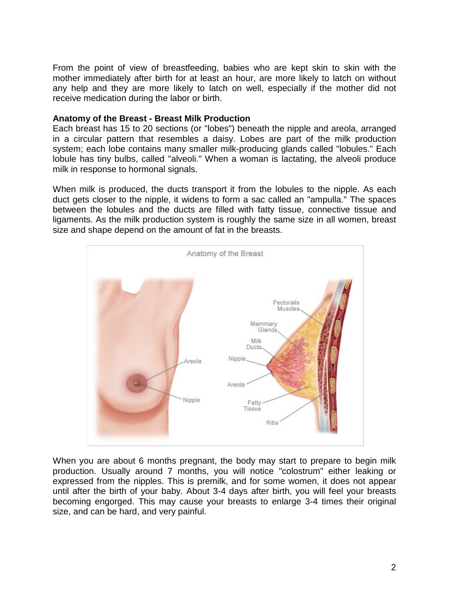From the point of view of breastfeeding, babies who are kept skin to skin with the mother immediately after birth for at least an hour, are more likely to latch on without any help and they are more likely to latch on well, especially if the mother did not receive medication during the labor or birth.

### **Anatomy of the Breast - Breast Milk Production**

Each breast has 15 to 20 sections (or "lobes") beneath the nipple and areola, arranged in a circular pattern that resembles a daisy. Lobes are part of the milk production system; each lobe contains many smaller milk-producing glands called "lobules." Each lobule has tiny bulbs, called "alveoli." When a woman is lactating, the alveoli produce milk in response to hormonal signals.

When milk is produced, the ducts transport it from the lobules to the nipple. As each duct gets closer to the nipple, it widens to form a sac called an "ampulla." The spaces between the lobules and the ducts are filled with fatty tissue, connective tissue and ligaments. As the milk production system is roughly the same size in all women, breast size and shape depend on the amount of fat in the breasts.



When you are about 6 months pregnant, the body may start to prepare to begin milk production. Usually around 7 months, you will notice "colostrum" either leaking or expressed from the nipples. This is premilk, and for some women, it does not appear until after the birth of your baby. About 3-4 days after birth, you will feel your breasts becoming engorged. This may cause your breasts to enlarge 3-4 times their original size, and can be hard, and very painful.